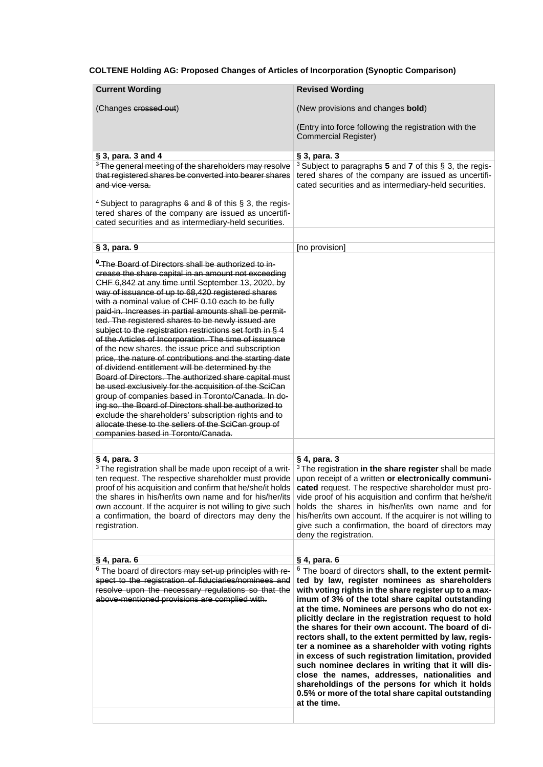**COLTENE Holding AG: Proposed Changes of Articles of Incorporation (Synoptic Comparison)**

| <b>Current Wording</b>                                                                                                                                                                                                                                                                                                                                                                                                                                                                                                                                                                                                                                                                                                                                                                                                                                                                                                                                                                                                                                                                     | <b>Revised Wording</b>                                                                                                                                                                                                                                                                                                                                                                                                                                                                                                                                                                                                                                                                                                                                                                                                  |
|--------------------------------------------------------------------------------------------------------------------------------------------------------------------------------------------------------------------------------------------------------------------------------------------------------------------------------------------------------------------------------------------------------------------------------------------------------------------------------------------------------------------------------------------------------------------------------------------------------------------------------------------------------------------------------------------------------------------------------------------------------------------------------------------------------------------------------------------------------------------------------------------------------------------------------------------------------------------------------------------------------------------------------------------------------------------------------------------|-------------------------------------------------------------------------------------------------------------------------------------------------------------------------------------------------------------------------------------------------------------------------------------------------------------------------------------------------------------------------------------------------------------------------------------------------------------------------------------------------------------------------------------------------------------------------------------------------------------------------------------------------------------------------------------------------------------------------------------------------------------------------------------------------------------------------|
| (Changes crossed out)                                                                                                                                                                                                                                                                                                                                                                                                                                                                                                                                                                                                                                                                                                                                                                                                                                                                                                                                                                                                                                                                      | (New provisions and changes <b>bold</b> )                                                                                                                                                                                                                                                                                                                                                                                                                                                                                                                                                                                                                                                                                                                                                                               |
|                                                                                                                                                                                                                                                                                                                                                                                                                                                                                                                                                                                                                                                                                                                                                                                                                                                                                                                                                                                                                                                                                            | (Entry into force following the registration with the<br><b>Commercial Register)</b>                                                                                                                                                                                                                                                                                                                                                                                                                                                                                                                                                                                                                                                                                                                                    |
| $\S$ 3, para. 3 and 4                                                                                                                                                                                                                                                                                                                                                                                                                                                                                                                                                                                                                                                                                                                                                                                                                                                                                                                                                                                                                                                                      | § 3, para. 3                                                                                                                                                                                                                                                                                                                                                                                                                                                                                                                                                                                                                                                                                                                                                                                                            |
| <sup>3</sup> The general meeting of the shareholders may resolve                                                                                                                                                                                                                                                                                                                                                                                                                                                                                                                                                                                                                                                                                                                                                                                                                                                                                                                                                                                                                           | <sup>3</sup> Subject to paragraphs 5 and 7 of this $\S$ 3, the regis-                                                                                                                                                                                                                                                                                                                                                                                                                                                                                                                                                                                                                                                                                                                                                   |
| that registered shares be converted into bearer shares<br>and vice versa.                                                                                                                                                                                                                                                                                                                                                                                                                                                                                                                                                                                                                                                                                                                                                                                                                                                                                                                                                                                                                  | tered shares of the company are issued as uncertifi-<br>cated securities and as intermediary-held securities.                                                                                                                                                                                                                                                                                                                                                                                                                                                                                                                                                                                                                                                                                                           |
| <sup>4</sup> Subject to paragraphs $6$ and $8$ of this $§$ 3, the regis-<br>tered shares of the company are issued as uncertifi-<br>cated securities and as intermediary-held securities.                                                                                                                                                                                                                                                                                                                                                                                                                                                                                                                                                                                                                                                                                                                                                                                                                                                                                                  |                                                                                                                                                                                                                                                                                                                                                                                                                                                                                                                                                                                                                                                                                                                                                                                                                         |
|                                                                                                                                                                                                                                                                                                                                                                                                                                                                                                                                                                                                                                                                                                                                                                                                                                                                                                                                                                                                                                                                                            |                                                                                                                                                                                                                                                                                                                                                                                                                                                                                                                                                                                                                                                                                                                                                                                                                         |
| § 3, para. 9                                                                                                                                                                                                                                                                                                                                                                                                                                                                                                                                                                                                                                                                                                                                                                                                                                                                                                                                                                                                                                                                               | [no provision]                                                                                                                                                                                                                                                                                                                                                                                                                                                                                                                                                                                                                                                                                                                                                                                                          |
| <sup>9</sup> The Board of Directors shall be authorized to in-<br>crease the share capital in an amount not exceeding<br>CHF 6,842 at any time until September 13, 2020, by<br>way of issuance of up to 68,420 registered shares<br>with a nominal value of CHF 0.10 each to be fully<br>paid-in. Increases in partial amounts shall be permit-<br>ted. The registered shares to be newly issued are<br>subject to the registration restrictions set forth in § 4<br>of the Articles of Incorporation. The time of issuance<br>of the new shares, the issue price and subscription<br>price, the nature of contributions and the starting date<br>of dividend entitlement will be determined by the<br>Board of Directors. The authorized share capital must<br>be used exclusively for the acquisition of the SciCan<br>group of companies based in Toronto/Canada. In do-<br>ing so, the Board of Directors shall be authorized to<br>exclude the shareholders' subscription rights and to<br>allocate these to the sellers of the SciCan group of<br>companies based in Toronto/Canada. |                                                                                                                                                                                                                                                                                                                                                                                                                                                                                                                                                                                                                                                                                                                                                                                                                         |
| § 4, para. 3                                                                                                                                                                                                                                                                                                                                                                                                                                                                                                                                                                                                                                                                                                                                                                                                                                                                                                                                                                                                                                                                               | § 4, para. 3                                                                                                                                                                                                                                                                                                                                                                                                                                                                                                                                                                                                                                                                                                                                                                                                            |
| <sup>3</sup> The registration shall be made upon receipt of a writ-<br>ten request. The respective shareholder must provide<br>proof of his acquisition and confirm that he/she/it holds<br>the shares in his/her/its own name and for his/her/its<br>own account. If the acquirer is not willing to give such<br>a confirmation, the board of directors may deny the<br>registration.                                                                                                                                                                                                                                                                                                                                                                                                                                                                                                                                                                                                                                                                                                     | <sup>3</sup> The registration in the share register shall be made<br>upon receipt of a written or electronically communi-<br>cated request. The respective shareholder must pro-<br>vide proof of his acquisition and confirm that he/she/it<br>holds the shares in his/her/its own name and for<br>his/her/its own account. If the acquirer is not willing to<br>give such a confirmation, the board of directors may<br>deny the registration.                                                                                                                                                                                                                                                                                                                                                                        |
|                                                                                                                                                                                                                                                                                                                                                                                                                                                                                                                                                                                                                                                                                                                                                                                                                                                                                                                                                                                                                                                                                            |                                                                                                                                                                                                                                                                                                                                                                                                                                                                                                                                                                                                                                                                                                                                                                                                                         |
| § 4, para. 6<br><sup>6</sup> The board of directors-may set-up principles with re-<br>spect to the registration of fiduciaries/nominees and<br>resolve upon the necessary regulations so that the<br>above-mentioned provisions are complied with.                                                                                                                                                                                                                                                                                                                                                                                                                                                                                                                                                                                                                                                                                                                                                                                                                                         | § 4, para. 6<br><sup>6</sup> The board of directors shall, to the extent permit-<br>ted by law, register nominees as shareholders<br>with voting rights in the share register up to a max-<br>imum of 3% of the total share capital outstanding<br>at the time. Nominees are persons who do not ex-<br>plicitly declare in the registration request to hold<br>the shares for their own account. The board of di-<br>rectors shall, to the extent permitted by law, regis-<br>ter a nominee as a shareholder with voting rights<br>in excess of such registration limitation, provided<br>such nominee declares in writing that it will dis-<br>close the names, addresses, nationalities and<br>shareholdings of the persons for which it holds<br>0.5% or more of the total share capital outstanding<br>at the time. |
|                                                                                                                                                                                                                                                                                                                                                                                                                                                                                                                                                                                                                                                                                                                                                                                                                                                                                                                                                                                                                                                                                            |                                                                                                                                                                                                                                                                                                                                                                                                                                                                                                                                                                                                                                                                                                                                                                                                                         |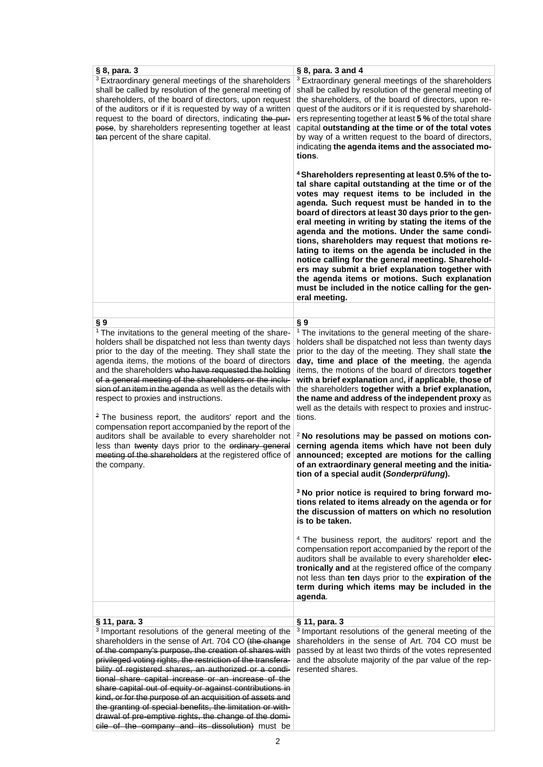| § 8, para. 3                                                                                                                                                                                                                                                                                                                                                                                                                                                                                                                                                                                                                                                                                                                                                                               | § 8, para. 3 and 4                                                                                                                                                                                                                                                                                                                                                                                                                                                                                                                                                                                                                                                                                                                                                                                                                                                                                                                                                                                                                                                                                                                                                                                                                                                                                                                                                           |
|--------------------------------------------------------------------------------------------------------------------------------------------------------------------------------------------------------------------------------------------------------------------------------------------------------------------------------------------------------------------------------------------------------------------------------------------------------------------------------------------------------------------------------------------------------------------------------------------------------------------------------------------------------------------------------------------------------------------------------------------------------------------------------------------|------------------------------------------------------------------------------------------------------------------------------------------------------------------------------------------------------------------------------------------------------------------------------------------------------------------------------------------------------------------------------------------------------------------------------------------------------------------------------------------------------------------------------------------------------------------------------------------------------------------------------------------------------------------------------------------------------------------------------------------------------------------------------------------------------------------------------------------------------------------------------------------------------------------------------------------------------------------------------------------------------------------------------------------------------------------------------------------------------------------------------------------------------------------------------------------------------------------------------------------------------------------------------------------------------------------------------------------------------------------------------|
| <sup>3</sup> Extraordinary general meetings of the shareholders<br>shall be called by resolution of the general meeting of<br>shareholders, of the board of directors, upon request<br>of the auditors or if it is requested by way of a written<br>request to the board of directors, indicating the pur-<br>pose, by shareholders representing together at least<br>ten percent of the share capital.                                                                                                                                                                                                                                                                                                                                                                                    | <sup>3</sup> Extraordinary general meetings of the shareholders<br>shall be called by resolution of the general meeting of<br>the shareholders, of the board of directors, upon re-<br>quest of the auditors or if it is requested by sharehold-<br>ers representing together at least 5 % of the total share<br>capital outstanding at the time or of the total votes<br>by way of a written request to the board of directors,<br>indicating the agenda items and the associated mo-<br>tions.                                                                                                                                                                                                                                                                                                                                                                                                                                                                                                                                                                                                                                                                                                                                                                                                                                                                             |
|                                                                                                                                                                                                                                                                                                                                                                                                                                                                                                                                                                                                                                                                                                                                                                                            | <sup>4</sup> Shareholders representing at least 0.5% of the to-<br>tal share capital outstanding at the time or of the<br>votes may request items to be included in the<br>agenda. Such request must be handed in to the<br>board of directors at least 30 days prior to the gen-<br>eral meeting in writing by stating the items of the<br>agenda and the motions. Under the same condi-<br>tions, shareholders may request that motions re-<br>lating to items on the agenda be included in the<br>notice calling for the general meeting. Sharehold-<br>ers may submit a brief explanation together with<br>the agenda items or motions. Such explanation<br>must be included in the notice calling for the gen-<br>eral meeting.                                                                                                                                                                                                                                                                                                                                                                                                                                                                                                                                                                                                                                         |
|                                                                                                                                                                                                                                                                                                                                                                                                                                                                                                                                                                                                                                                                                                                                                                                            |                                                                                                                                                                                                                                                                                                                                                                                                                                                                                                                                                                                                                                                                                                                                                                                                                                                                                                                                                                                                                                                                                                                                                                                                                                                                                                                                                                              |
| §9<br><sup>1</sup> The invitations to the general meeting of the share-<br>holders shall be dispatched not less than twenty days<br>prior to the day of the meeting. They shall state the<br>agenda items, the motions of the board of directors<br>and the shareholders who have requested the holding<br>of a general meeting of the shareholders or the inclu-<br>sion of an item in the agenda as well as the details with<br>respect to proxies and instructions.<br><sup>2</sup> The business report, the auditors' report and the<br>compensation report accompanied by the report of the<br>auditors shall be available to every shareholder not<br>less than twenty days prior to the ordinary general<br>meeting of the shareholders at the registered office of<br>the company. | §9<br><sup>1</sup> The invitations to the general meeting of the share-<br>holders shall be dispatched not less than twenty days<br>prior to the day of the meeting. They shall state the<br>day, time and place of the meeting, the agenda<br>items, the motions of the board of directors together<br>with a brief explanation and, if applicable, those of<br>the shareholders together with a brief explanation,<br>the name and address of the independent proxy as<br>well as the details with respect to proxies and instruc-<br>tions.<br>$2$ No resolutions may be passed on motions con-<br>cerning agenda items which have not been duly<br>announced; excepted are motions for the calling<br>of an extraordinary general meeting and the initia-<br>tion of a special audit (Sonderprüfung).<br><sup>3</sup> No prior notice is required to bring forward mo-<br>tions related to items already on the agenda or for<br>the discussion of matters on which no resolution<br>is to be taken.<br><sup>4</sup> The business report, the auditors' report and the<br>compensation report accompanied by the report of the<br>auditors shall be available to every shareholder elec-<br>tronically and at the registered office of the company<br>not less than ten days prior to the expiration of the<br>term during which items may be included in the<br>agenda. |
| § 11, para. 3<br><sup>3</sup> Important resolutions of the general meeting of the<br>shareholders in the sense of Art. 704 CO (the change<br>of the company's purpose, the creation of shares with<br>privileged voting rights, the restriction of the transfera-<br>bility of registered shares, an authorized or a condi-<br>tional share capital increase or an increase of the<br>share capital out of equity or against contributions in<br>kind, or for the purpose of an acquisition of assets and<br>the granting of special benefits, the limitation or with-<br>drawal of pre-emptive rights, the change of the domi-                                                                                                                                                            | § 11, para. 3<br><sup>3</sup> Important resolutions of the general meeting of the<br>shareholders in the sense of Art. 704 CO must be<br>passed by at least two thirds of the votes represented<br>and the absolute majority of the par value of the rep-<br>resented shares.                                                                                                                                                                                                                                                                                                                                                                                                                                                                                                                                                                                                                                                                                                                                                                                                                                                                                                                                                                                                                                                                                                |

cile of the company and its dissolution) must be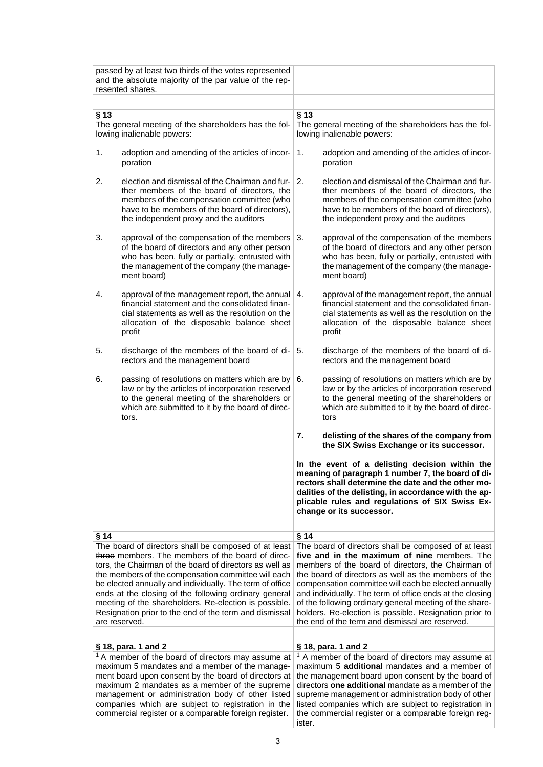|        | passed by at least two thirds of the votes represented<br>and the absolute majority of the par value of the rep-<br>resented shares.                                                                                                                                                                                                                                                                                                                                                 |                                                                                                                                                                                                                                                                                                                                                                                                                                                                                                                        |
|--------|--------------------------------------------------------------------------------------------------------------------------------------------------------------------------------------------------------------------------------------------------------------------------------------------------------------------------------------------------------------------------------------------------------------------------------------------------------------------------------------|------------------------------------------------------------------------------------------------------------------------------------------------------------------------------------------------------------------------------------------------------------------------------------------------------------------------------------------------------------------------------------------------------------------------------------------------------------------------------------------------------------------------|
|        |                                                                                                                                                                                                                                                                                                                                                                                                                                                                                      |                                                                                                                                                                                                                                                                                                                                                                                                                                                                                                                        |
| $§$ 13 |                                                                                                                                                                                                                                                                                                                                                                                                                                                                                      | $§$ 13                                                                                                                                                                                                                                                                                                                                                                                                                                                                                                                 |
|        | The general meeting of the shareholders has the fol-<br>lowing inalienable powers:                                                                                                                                                                                                                                                                                                                                                                                                   | The general meeting of the shareholders has the fol-<br>lowing inalienable powers:                                                                                                                                                                                                                                                                                                                                                                                                                                     |
| 1.     | adoption and amending of the articles of incor-<br>poration                                                                                                                                                                                                                                                                                                                                                                                                                          | adoption and amending of the articles of incor-<br>1.<br>poration                                                                                                                                                                                                                                                                                                                                                                                                                                                      |
| 2.     | election and dismissal of the Chairman and fur-<br>ther members of the board of directors, the<br>members of the compensation committee (who<br>have to be members of the board of directors),<br>the independent proxy and the auditors                                                                                                                                                                                                                                             | 2.<br>election and dismissal of the Chairman and fur-<br>ther members of the board of directors, the<br>members of the compensation committee (who<br>have to be members of the board of directors),<br>the independent proxy and the auditors                                                                                                                                                                                                                                                                         |
| 3.     | approval of the compensation of the members $\vert$ 3.<br>of the board of directors and any other person<br>who has been, fully or partially, entrusted with<br>the management of the company (the manage-<br>ment board)                                                                                                                                                                                                                                                            | approval of the compensation of the members<br>of the board of directors and any other person<br>who has been, fully or partially, entrusted with<br>the management of the company (the manage-<br>ment board)                                                                                                                                                                                                                                                                                                         |
| 4.     | approval of the management report, the annual<br>financial statement and the consolidated finan-<br>cial statements as well as the resolution on the<br>allocation of the disposable balance sheet<br>profit                                                                                                                                                                                                                                                                         | approval of the management report, the annual<br>4.<br>financial statement and the consolidated finan-<br>cial statements as well as the resolution on the<br>allocation of the disposable balance sheet<br>profit                                                                                                                                                                                                                                                                                                     |
| 5.     | discharge of the members of the board of di-<br>rectors and the management board                                                                                                                                                                                                                                                                                                                                                                                                     | discharge of the members of the board of di-<br>5.<br>rectors and the management board                                                                                                                                                                                                                                                                                                                                                                                                                                 |
| 6.     | passing of resolutions on matters which are by $\vert 6$ .<br>law or by the articles of incorporation reserved<br>to the general meeting of the shareholders or<br>which are submitted to it by the board of direc-<br>tors.                                                                                                                                                                                                                                                         | passing of resolutions on matters which are by<br>law or by the articles of incorporation reserved<br>to the general meeting of the shareholders or<br>which are submitted to it by the board of direc-<br>tors                                                                                                                                                                                                                                                                                                        |
|        |                                                                                                                                                                                                                                                                                                                                                                                                                                                                                      | 7.<br>delisting of the shares of the company from<br>the SIX Swiss Exchange or its successor.                                                                                                                                                                                                                                                                                                                                                                                                                          |
|        |                                                                                                                                                                                                                                                                                                                                                                                                                                                                                      | In the event of a delisting decision within the<br>meaning of paragraph 1 number 7, the board of di-<br>rectors shall determine the date and the other mo-<br>dalities of the delisting, in accordance with the ap-<br>plicable rules and regulations of SIX Swiss Ex-<br>change or its successor.                                                                                                                                                                                                                     |
| §14    | The board of directors shall be composed of at least<br>three members. The members of the board of direc-<br>tors, the Chairman of the board of directors as well as<br>the members of the compensation committee will each<br>be elected annually and individually. The term of office<br>ends at the closing of the following ordinary general<br>meeting of the shareholders. Re-election is possible.<br>Resignation prior to the end of the term and dismissal<br>are reserved. | § 14<br>The board of directors shall be composed of at least<br>five and in the maximum of nine members. The<br>members of the board of directors, the Chairman of<br>the board of directors as well as the members of the<br>compensation committee will each be elected annually<br>and individually. The term of office ends at the closing<br>of the following ordinary general meeting of the share-<br>holders. Re-election is possible. Resignation prior to<br>the end of the term and dismissal are reserved. |
|        | § 18, para. 1 and 2<br><sup>1</sup> A member of the board of directors may assume at<br>maximum 5 mandates and a member of the manage-<br>ment board upon consent by the board of directors at<br>maximum 2 mandates as a member of the supreme<br>management or administration body of other listed<br>companies which are subject to registration in the<br>commercial register or a comparable foreign register.                                                                  | § 18, para. 1 and 2<br><sup>1</sup> A member of the board of directors may assume at<br>maximum 5 <b>additional</b> mandates and a member of<br>the management board upon consent by the board of<br>directors one additional mandate as a member of the<br>supreme management or administration body of other<br>listed companies which are subject to registration in<br>the commercial register or a comparable foreign reg-<br>ister.                                                                              |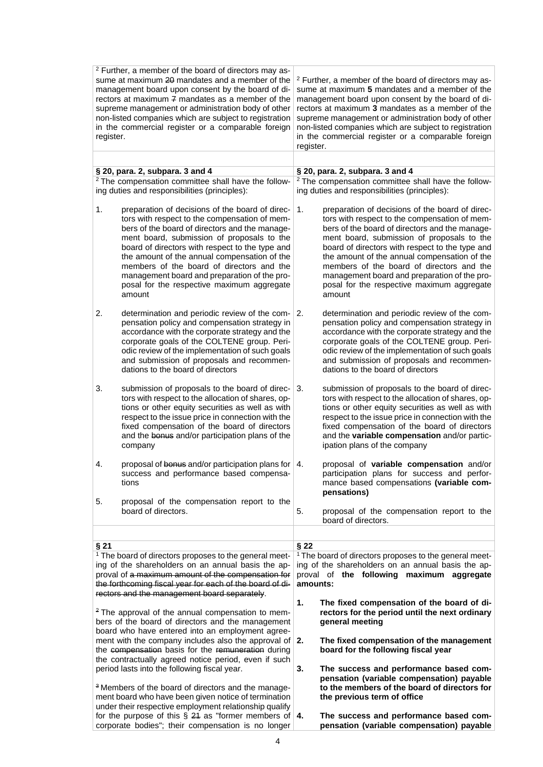<sup>2</sup> Further, a member of the board of directors may assume at maximum 20 mandates and a member of the management board upon consent by the board of directors at maximum  $\frac{1}{7}$  mandates as a member of the supreme management or administration body of other non-listed companies which are subject to registration in the commercial register or a comparable foreign register.

<sup>2</sup> Further, a member of the board of directors may assume at maximum **5** mandates and a member of the management board upon consent by the board of directors at maximum **3** mandates as a member of the supreme management or administration body of other non-listed companies which are subject to registration in the commercial register or a comparable foreign register.

| § 20, para. 2, subpara. 3 and 4                                |                                                                                                                                                                                                                                                                                                                                                                                                                                                          |                                                                | § 20, para. 2, subpara. 3 and 4                                                                                                                                                                                                                                                                                                                                                                                                                          |  |
|----------------------------------------------------------------|----------------------------------------------------------------------------------------------------------------------------------------------------------------------------------------------------------------------------------------------------------------------------------------------------------------------------------------------------------------------------------------------------------------------------------------------------------|----------------------------------------------------------------|----------------------------------------------------------------------------------------------------------------------------------------------------------------------------------------------------------------------------------------------------------------------------------------------------------------------------------------------------------------------------------------------------------------------------------------------------------|--|
| <sup>2</sup> The compensation committee shall have the follow- |                                                                                                                                                                                                                                                                                                                                                                                                                                                          | <sup>2</sup> The compensation committee shall have the follow- |                                                                                                                                                                                                                                                                                                                                                                                                                                                          |  |
| ing duties and responsibilities (principles):                  |                                                                                                                                                                                                                                                                                                                                                                                                                                                          | ing duties and responsibilities (principles):                  |                                                                                                                                                                                                                                                                                                                                                                                                                                                          |  |
| 1.                                                             | preparation of decisions of the board of direc-<br>tors with respect to the compensation of mem-<br>bers of the board of directors and the manage-<br>ment board, submission of proposals to the<br>board of directors with respect to the type and<br>the amount of the annual compensation of the<br>members of the board of directors and the<br>management board and preparation of the pro-<br>posal for the respective maximum aggregate<br>amount | 1.                                                             | preparation of decisions of the board of direc-<br>tors with respect to the compensation of mem-<br>bers of the board of directors and the manage-<br>ment board, submission of proposals to the<br>board of directors with respect to the type and<br>the amount of the annual compensation of the<br>members of the board of directors and the<br>management board and preparation of the pro-<br>posal for the respective maximum aggregate<br>amount |  |
| 2.                                                             | determination and periodic review of the com-<br>pensation policy and compensation strategy in<br>accordance with the corporate strategy and the<br>corporate goals of the COLTENE group. Peri-<br>odic review of the implementation of such goals<br>and submission of proposals and recommen-<br>dations to the board of directors                                                                                                                     | 2.                                                             | determination and periodic review of the com-<br>pensation policy and compensation strategy in<br>accordance with the corporate strategy and the<br>corporate goals of the COLTENE group. Peri-<br>odic review of the implementation of such goals<br>and submission of proposals and recommen-<br>dations to the board of directors                                                                                                                     |  |
| 3.                                                             | submission of proposals to the board of direc-<br>tors with respect to the allocation of shares, op-<br>tions or other equity securities as well as with<br>respect to the issue price in connection with the<br>fixed compensation of the board of directors<br>and the bonus and/or participation plans of the<br>company                                                                                                                              | 3.                                                             | submission of proposals to the board of direc-<br>tors with respect to the allocation of shares, op-<br>tions or other equity securities as well as with<br>respect to the issue price in connection with the<br>fixed compensation of the board of directors<br>and the variable compensation and/or partic-<br>ipation plans of the company                                                                                                            |  |
| 4.                                                             | proposal of bonus and/or participation plans for $ 4$ .<br>success and performance based compensa-<br>tions                                                                                                                                                                                                                                                                                                                                              |                                                                | proposal of variable compensation and/or<br>participation plans for success and perfor-<br>mance based compensations (variable com-<br>pensations)                                                                                                                                                                                                                                                                                                       |  |
| 5.                                                             | proposal of the compensation report to the<br>board of directors.                                                                                                                                                                                                                                                                                                                                                                                        | 5.                                                             | proposal of the compensation report to the<br>board of directors.                                                                                                                                                                                                                                                                                                                                                                                        |  |
|                                                                |                                                                                                                                                                                                                                                                                                                                                                                                                                                          |                                                                |                                                                                                                                                                                                                                                                                                                                                                                                                                                          |  |
| §21                                                            |                                                                                                                                                                                                                                                                                                                                                                                                                                                          | §22                                                            |                                                                                                                                                                                                                                                                                                                                                                                                                                                          |  |
|                                                                | <sup>1</sup> The board of directors proposes to the general meet-<br>ing of the shareholders on an annual basis the ap-<br>proval of a maximum amount of the compensation for<br>the forthcoming fiscal year for each of the board of di-<br>rectors and the management board separately.                                                                                                                                                                | amounts:                                                       | <sup>1</sup> The board of directors proposes to the general meet-<br>ing of the shareholders on an annual basis the ap-<br>proval of the following maximum aggregate                                                                                                                                                                                                                                                                                     |  |
|                                                                | <sup>2</sup> The approval of the annual compensation to mem-<br>bers of the board of directors and the management                                                                                                                                                                                                                                                                                                                                        | 1.                                                             | The fixed compensation of the board of di-<br>rectors for the period until the next ordinary<br>general meeting                                                                                                                                                                                                                                                                                                                                          |  |
|                                                                | board who have entered into an employment agree-<br>ment with the company includes also the approval of<br>the compensation basis for the remuneration during<br>the contractually agreed notice period, even if such                                                                                                                                                                                                                                    | 2.                                                             | The fixed compensation of the management<br>board for the following fiscal year                                                                                                                                                                                                                                                                                                                                                                          |  |
|                                                                | period lasts into the following fiscal year.<br><sup>3</sup> Members of the board of directors and the manage-<br>ment board who have been given notice of termination<br>under their respective employment relationship qualify                                                                                                                                                                                                                         | 3.                                                             | The success and performance based com-<br>pensation (variable compensation) payable<br>to the members of the board of directors for<br>the previous term of office                                                                                                                                                                                                                                                                                       |  |
|                                                                | for the purpose of this $\S$ 24 as "former members of 4.<br>corporate bodies"; their compensation is no longer                                                                                                                                                                                                                                                                                                                                           |                                                                | The success and performance based com-<br>pensation (variable compensation) payable                                                                                                                                                                                                                                                                                                                                                                      |  |

4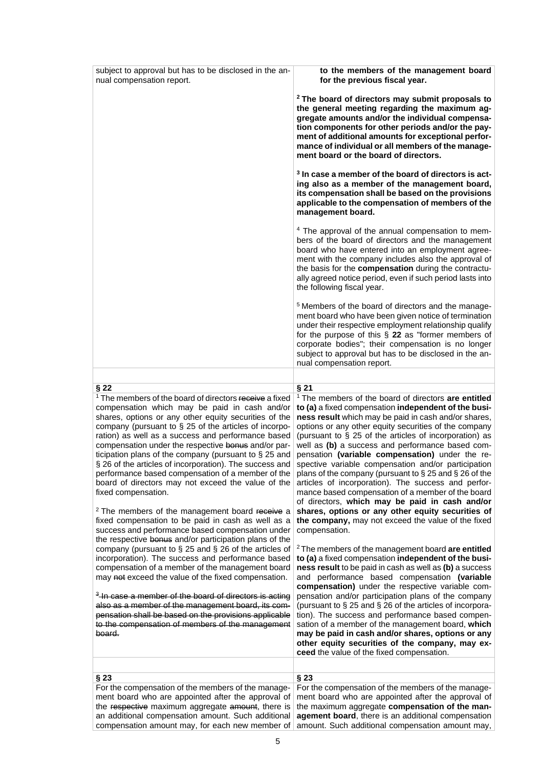| subject to approval but has to be disclosed in the an-<br>nual compensation report.                                                                                                                                                                                                                                                                                                                                                                                                                                                                                                                                                                                                                                                                                                                                                                                                                                                                                                                                                                                                                                                                                                                                                                                                                                             | to the members of the management board<br>for the previous fiscal year.                                                                                                                                                                                                                                                                                                                                                                                                                                                                                                                                                                                                                                                                                                                                                                                                                                                                                                                                                                                                                                                                                                                                                                                                                                                                                                                                                                                                                              |
|---------------------------------------------------------------------------------------------------------------------------------------------------------------------------------------------------------------------------------------------------------------------------------------------------------------------------------------------------------------------------------------------------------------------------------------------------------------------------------------------------------------------------------------------------------------------------------------------------------------------------------------------------------------------------------------------------------------------------------------------------------------------------------------------------------------------------------------------------------------------------------------------------------------------------------------------------------------------------------------------------------------------------------------------------------------------------------------------------------------------------------------------------------------------------------------------------------------------------------------------------------------------------------------------------------------------------------|------------------------------------------------------------------------------------------------------------------------------------------------------------------------------------------------------------------------------------------------------------------------------------------------------------------------------------------------------------------------------------------------------------------------------------------------------------------------------------------------------------------------------------------------------------------------------------------------------------------------------------------------------------------------------------------------------------------------------------------------------------------------------------------------------------------------------------------------------------------------------------------------------------------------------------------------------------------------------------------------------------------------------------------------------------------------------------------------------------------------------------------------------------------------------------------------------------------------------------------------------------------------------------------------------------------------------------------------------------------------------------------------------------------------------------------------------------------------------------------------------|
|                                                                                                                                                                                                                                                                                                                                                                                                                                                                                                                                                                                                                                                                                                                                                                                                                                                                                                                                                                                                                                                                                                                                                                                                                                                                                                                                 | <sup>2</sup> The board of directors may submit proposals to<br>the general meeting regarding the maximum ag-<br>gregate amounts and/or the individual compensa-<br>tion components for other periods and/or the pay-<br>ment of additional amounts for exceptional perfor-<br>mance of individual or all members of the manage-<br>ment board or the board of directors.                                                                                                                                                                                                                                                                                                                                                                                                                                                                                                                                                                                                                                                                                                                                                                                                                                                                                                                                                                                                                                                                                                                             |
|                                                                                                                                                                                                                                                                                                                                                                                                                                                                                                                                                                                                                                                                                                                                                                                                                                                                                                                                                                                                                                                                                                                                                                                                                                                                                                                                 | <sup>3</sup> In case a member of the board of directors is act-<br>ing also as a member of the management board,<br>its compensation shall be based on the provisions<br>applicable to the compensation of members of the<br>management board.                                                                                                                                                                                                                                                                                                                                                                                                                                                                                                                                                                                                                                                                                                                                                                                                                                                                                                                                                                                                                                                                                                                                                                                                                                                       |
|                                                                                                                                                                                                                                                                                                                                                                                                                                                                                                                                                                                                                                                                                                                                                                                                                                                                                                                                                                                                                                                                                                                                                                                                                                                                                                                                 | <sup>4</sup> The approval of the annual compensation to mem-<br>bers of the board of directors and the management<br>board who have entered into an employment agree-<br>ment with the company includes also the approval of<br>the basis for the compensation during the contractu-<br>ally agreed notice period, even if such period lasts into<br>the following fiscal year.                                                                                                                                                                                                                                                                                                                                                                                                                                                                                                                                                                                                                                                                                                                                                                                                                                                                                                                                                                                                                                                                                                                      |
|                                                                                                                                                                                                                                                                                                                                                                                                                                                                                                                                                                                                                                                                                                                                                                                                                                                                                                                                                                                                                                                                                                                                                                                                                                                                                                                                 | <sup>5</sup> Members of the board of directors and the manage-<br>ment board who have been given notice of termination<br>under their respective employment relationship qualify<br>for the purpose of this $\S$ 22 as "former members of<br>corporate bodies"; their compensation is no longer<br>subject to approval but has to be disclosed in the an-<br>nual compensation report.                                                                                                                                                                                                                                                                                                                                                                                                                                                                                                                                                                                                                                                                                                                                                                                                                                                                                                                                                                                                                                                                                                               |
|                                                                                                                                                                                                                                                                                                                                                                                                                                                                                                                                                                                                                                                                                                                                                                                                                                                                                                                                                                                                                                                                                                                                                                                                                                                                                                                                 |                                                                                                                                                                                                                                                                                                                                                                                                                                                                                                                                                                                                                                                                                                                                                                                                                                                                                                                                                                                                                                                                                                                                                                                                                                                                                                                                                                                                                                                                                                      |
| §22<br><sup>1</sup> The members of the board of directors receive a fixed<br>compensation which may be paid in cash and/or<br>shares, options or any other equity securities of the<br>company (pursuant to § 25 of the articles of incorpo-<br>ration) as well as a success and performance based<br>compensation under the respective bonus and/or par-<br>ticipation plans of the company (pursuant to $\S 25$ and<br>§ 26 of the articles of incorporation). The success and<br>performance based compensation of a member of the<br>board of directors may not exceed the value of the<br>fixed compensation.<br><sup>2</sup> The members of the management board receive a<br>fixed compensation to be paid in cash as well as a<br>success and performance based compensation under<br>the respective bonus and/or participation plans of the<br>company (pursuant to § 25 and § 26 of the articles of<br>incorporation). The success and performance based<br>compensation of a member of the management board<br>may not exceed the value of the fixed compensation.<br><sup>3</sup> In case a member of the board of directors is acting<br>also as a member of the management board, its com-<br>pensation shall be based on the provisions applicable<br>to the compensation of members of the management<br>board. | §21<br><sup>1</sup> The members of the board of directors are entitled<br>to (a) a fixed compensation independent of the busi-<br>ness result which may be paid in cash and/or shares,<br>options or any other equity securities of the company<br>(pursuant to § 25 of the articles of incorporation) as<br>well as (b) a success and performance based com-<br>pensation (variable compensation) under the re-<br>spective variable compensation and/or participation<br>plans of the company (pursuant to § 25 and § 26 of the<br>articles of incorporation). The success and perfor-<br>mance based compensation of a member of the board<br>of directors, which may be paid in cash and/or<br>shares, options or any other equity securities of<br>the company, may not exceed the value of the fixed<br>compensation.<br><sup>2</sup> The members of the management board are entitled<br>to (a) a fixed compensation independent of the busi-<br>ness result to be paid in cash as well as (b) a success<br>and performance based compensation (variable<br>compensation) under the respective variable com-<br>pensation and/or participation plans of the company<br>(pursuant to § 25 and § 26 of the articles of incorpora-<br>tion). The success and performance based compen-<br>sation of a member of the management board, which<br>may be paid in cash and/or shares, options or any<br>other equity securities of the company, may ex-<br>ceed the value of the fixed compensation. |
|                                                                                                                                                                                                                                                                                                                                                                                                                                                                                                                                                                                                                                                                                                                                                                                                                                                                                                                                                                                                                                                                                                                                                                                                                                                                                                                                 |                                                                                                                                                                                                                                                                                                                                                                                                                                                                                                                                                                                                                                                                                                                                                                                                                                                                                                                                                                                                                                                                                                                                                                                                                                                                                                                                                                                                                                                                                                      |
| §23<br>For the compensation of the members of the manage-<br>ment board who are appointed after the approval of<br>the respective maximum aggregate amount, there is<br>an additional compensation amount. Such additional<br>compensation amount may, for each new member of                                                                                                                                                                                                                                                                                                                                                                                                                                                                                                                                                                                                                                                                                                                                                                                                                                                                                                                                                                                                                                                   | §23<br>For the compensation of the members of the manage-<br>ment board who are appointed after the approval of<br>the maximum aggregate compensation of the man-<br>agement board, there is an additional compensation<br>amount. Such additional compensation amount may,                                                                                                                                                                                                                                                                                                                                                                                                                                                                                                                                                                                                                                                                                                                                                                                                                                                                                                                                                                                                                                                                                                                                                                                                                          |